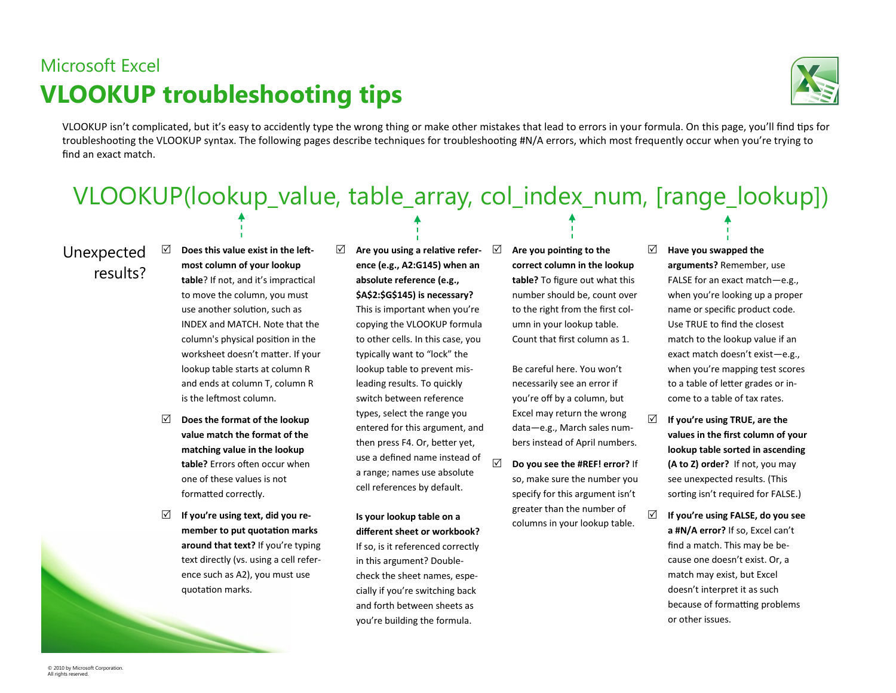### Microsoft Excel **VLOOKUP troubleshooting tips**



VLOOKUP isn't complicated, but it's easy to accidently type the wrong thing or make other mistakes that lead to errors in your formula. On this page, you'll find tips for troubleshooting the VLOOKUP syntax. The following pages describe techniques for troubleshooting #N/A errors, which most frequently occur when you're trying to find an exact match.

# VLOOKUP(lookup\_value, table\_array, col\_index\_num, [range\_lookup])

### Unexpected results?

- **Does this value exist in the leftmost column of your lookup table**? If not, and it's impractical to move the column, you must use another solution, such as INDEX and MATCH. Note that the column's physical position in the worksheet doesn't matter. If your lookup table starts at column R and ends at column T, column R is the leftmost column.
- **Does the format of the lookup value match the format of the matching value in the lookup table?** Errors often occur when one of these values is not formatted correctly.
- **If you're using text, did you remember to put quotation marks around that text?** If you're typing text directly (vs. using a cell reference such as A2), you must use quotation marks.

#### **Are you using a relative reference (e.g., A2:G145) when an absolute reference (e.g., \$A\$2:\$G\$145) is necessary?**

This is important when you're copying the VLOOKUP formula to other cells. In this case, you typically want to "lock" the lookup table to prevent misleading results. To quickly switch between reference types, select the range you entered for this argument, and then press F4. Or, better yet, use a defined name instead of a range; names use absolute cell references by default.

**Is your lookup table on a different sheet or workbook?** If so, is it referenced correctly in this argument? Doublecheck the sheet names, especially if you're switching back and forth between sheets as you're building the formula.

 **Are you pointing to the correct column in the lookup table?** To figure out what this number should be, count over to the right from the first column in your lookup table. Count that first column as 1.

Be careful here. You won't necessarily see an error if you're off by a column, but Excel may return the wrong data—e.g., March sales numbers instead of April numbers.

 **Do you see the #REF! error?** If so, make sure the number you specify for this argument isn't greater than the number of columns in your lookup table.

#### **Have you swapped the**

**arguments?** Remember, use FALSE for an exact match—e.g., when you're looking up a proper name or specific product code. Use TRUE to find the closest match to the lookup value if an exact match doesn't exist—e.g., when you're mapping test scores to a table of letter grades or income to a table of tax rates.

- **If you're using TRUE, are the values in the first column of your lookup table sorted in ascending (A to Z) order?** If not, you may see unexpected results. (This sorting isn't required for FALSE.)
- **If you're using FALSE, do you see a #N/A error?** If so, Excel can't find a match. This may be because one doesn't exist. Or, a match may exist, but Excel doesn't interpret it as such because of formatting problems or other issues.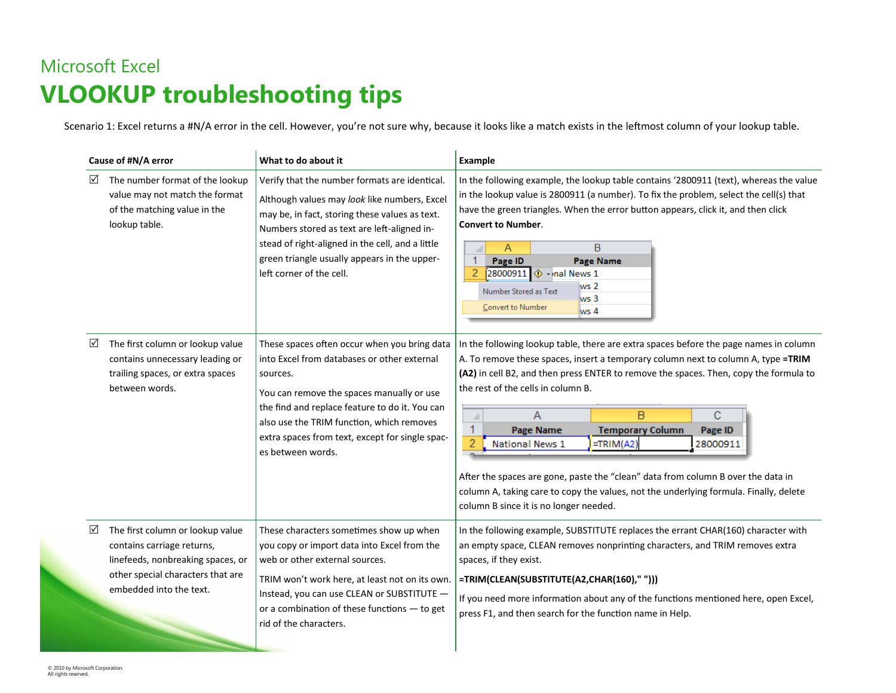## Microsoft Excel **VLOOKUP troubleshooting tips**

Scenario 1: Excel returns a #N/A error in the cell. However, you're not sure why, because it looks like a match exists in the leftmost column of your lookup table.

| Cause of #N/A error |                                                                                                                                                                     | What to do about it                                                                                                                                                                                                                                                                                                            | Example                                                                                                                                                                                                                                                                                                                                                                                                                                                                                                                                                                                                                                                           |
|---------------------|---------------------------------------------------------------------------------------------------------------------------------------------------------------------|--------------------------------------------------------------------------------------------------------------------------------------------------------------------------------------------------------------------------------------------------------------------------------------------------------------------------------|-------------------------------------------------------------------------------------------------------------------------------------------------------------------------------------------------------------------------------------------------------------------------------------------------------------------------------------------------------------------------------------------------------------------------------------------------------------------------------------------------------------------------------------------------------------------------------------------------------------------------------------------------------------------|
| ☑                   | The number format of the lookup<br>value may not match the format<br>of the matching value in the<br>lookup table.                                                  | Verify that the number formats are identical.<br>Although values may look like numbers, Excel<br>may be, in fact, storing these values as text.<br>Numbers stored as text are left-aligned in-<br>stead of right-aligned in the cell, and a little<br>green triangle usually appears in the upper-<br>left corner of the cell. | In the following example, the lookup table contains '2800911 (text), whereas the value<br>in the lookup value is 2800911 (a number). To fix the problem, select the cell(s) that<br>have the green triangles. When the error button appears, click it, and then click<br><b>Convert to Number.</b><br>B<br>A<br>◢<br>$\mathbf{1}$<br>Page ID<br><b>Page Name</b><br>$\overline{2}$<br>28000911 1 + nal News 1<br>ws 2<br>Number Stored as Text<br>ws <sub>3</sub><br>Convert to Number<br>ws 4                                                                                                                                                                    |
| ☑                   | The first column or lookup value<br>contains unnecessary leading or<br>trailing spaces, or extra spaces<br>between words.                                           | These spaces often occur when you bring data<br>into Excel from databases or other external<br>sources.<br>You can remove the spaces manually or use<br>the find and replace feature to do it. You can<br>also use the TRIM function, which removes<br>extra spaces from text, except for single spac-<br>es between words.    | In the following lookup table, there are extra spaces before the page names in column<br>A. To remove these spaces, insert a temporary column next to column A, type =TRIM<br>(A2) in cell B2, and then press ENTER to remove the spaces. Then, copy the formula to<br>the rest of the cells in column B.<br>B<br>C<br>A<br>◢<br>1<br><b>Temporary Column</b><br><b>Page Name</b><br>Page ID<br>National News 1<br>$=TRIM(A2)$<br>28000911<br>After the spaces are gone, paste the "clean" data from column B over the data in<br>column A, taking care to copy the values, not the underlying formula. Finally, delete<br>column B since it is no longer needed. |
| ☑                   | The first column or lookup value<br>contains carriage returns,<br>linefeeds, nonbreaking spaces, or<br>other special characters that are<br>embedded into the text. | These characters sometimes show up when<br>you copy or import data into Excel from the<br>web or other external sources.<br>TRIM won't work here, at least not on its own.<br>Instead, you can use CLEAN or SUBSTITUTE -<br>or a combination of these functions - to get<br>rid of the characters.                             | In the following example, SUBSTITUTE replaces the errant CHAR(160) character with<br>an empty space, CLEAN removes nonprinting characters, and TRIM removes extra<br>spaces, if they exist.<br>=TRIM(CLEAN(SUBSTITUTE(A2,CHAR(160)," ")))<br>If you need more information about any of the functions mentioned here, open Excel,<br>press F1, and then search for the function name in Help.                                                                                                                                                                                                                                                                      |